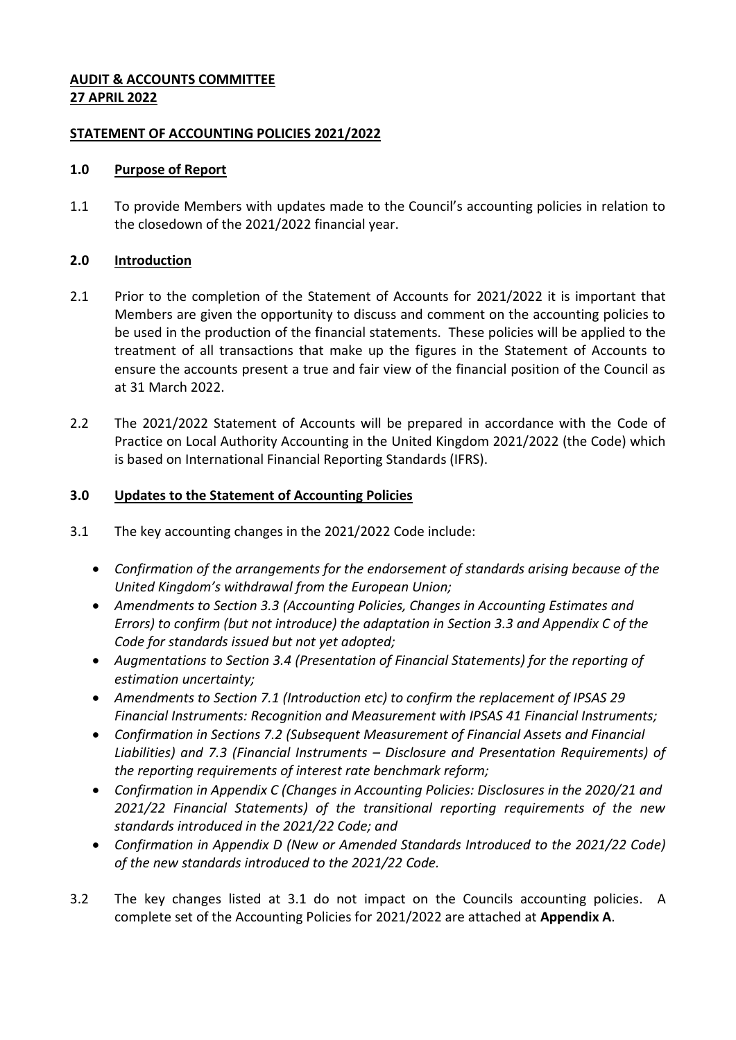## **AUDIT & ACCOUNTS COMMITTEE 27 APRIL 2022**

## **STATEMENT OF ACCOUNTING POLICIES 2021/2022**

#### **1.0 Purpose of Report**

1.1 To provide Members with updates made to the Council's accounting policies in relation to the closedown of the 2021/2022 financial year.

## **2.0 Introduction**

- 2.1 Prior to the completion of the Statement of Accounts for 2021/2022 it is important that Members are given the opportunity to discuss and comment on the accounting policies to be used in the production of the financial statements. These policies will be applied to the treatment of all transactions that make up the figures in the Statement of Accounts to ensure the accounts present a true and fair view of the financial position of the Council as at 31 March 2022.
- 2.2 The 2021/2022 Statement of Accounts will be prepared in accordance with the Code of Practice on Local Authority Accounting in the United Kingdom 2021/2022 (the Code) which is based on International Financial Reporting Standards (IFRS).

## **3.0 Updates to the Statement of Accounting Policies**

- 3.1 The key accounting changes in the 2021/2022 Code include:
	- *Confirmation of the arrangements for the endorsement of standards arising because of the United Kingdom's withdrawal from the European Union;*
	- *Amendments to Section 3.3 (Accounting Policies, Changes in Accounting Estimates and Errors) to confirm (but not introduce) the adaptation in Section 3.3 and Appendix C of the Code for standards issued but not yet adopted;*
	- *Augmentations to Section 3.4 (Presentation of Financial Statements) for the reporting of estimation uncertainty;*
	- *Amendments to Section 7.1 (Introduction etc) to confirm the replacement of IPSAS 29 Financial Instruments: Recognition and Measurement with IPSAS 41 Financial Instruments;*
	- *Confirmation in Sections 7.2 (Subsequent Measurement of Financial Assets and Financial Liabilities) and 7.3 (Financial Instruments – Disclosure and Presentation Requirements) of the reporting requirements of interest rate benchmark reform;*
	- *Confirmation in Appendix C (Changes in Accounting Policies: Disclosures in the 2020/21 and 2021/22 Financial Statements) of the transitional reporting requirements of the new standards introduced in the 2021/22 Code; and*
	- *Confirmation in Appendix D (New or Amended Standards Introduced to the 2021/22 Code) of the new standards introduced to the 2021/22 Code.*
- 3.2 The key changes listed at 3.1 do not impact on the Councils accounting policies. A complete set of the Accounting Policies for 2021/2022 are attached at **Appendix A**.